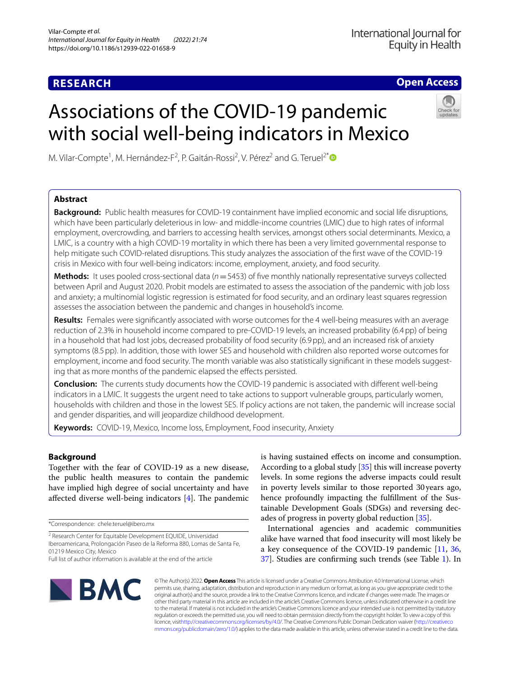# **RESEARCH**

**Open Access**

# Associations of the COVID‑19 pandemic with social well-being indicators in Mexico



M. Vilar-Compte<sup>1</sup>, M. Hernández-F<sup>2</sup>, P. Gaitán-Rossi<sup>2</sup>, V. Pérez<sup>2</sup> and G. Teruel<sup>2\*</sup> <sup>1</sup>

# **Abstract**

**Background:** Public health measures for COVID-19 containment have implied economic and social life disruptions, which have been particularly deleterious in low- and middle-income countries (LMIC) due to high rates of informal employment, overcrowding, and barriers to accessing health services, amongst others social determinants. Mexico, a LMIC, is a country with a high COVID-19 mortality in which there has been a very limited governmental response to help mitigate such COVID-related disruptions. This study analyzes the association of the frst wave of the COVID-19 crisis in Mexico with four well-being indicators: income, employment, anxiety, and food security.

**Methods:** It uses pooled cross-sectional data (*n*=5453) of fve monthly nationally representative surveys collected between April and August 2020. Probit models are estimated to assess the association of the pandemic with job loss and anxiety; a multinomial logistic regression is estimated for food security, and an ordinary least squares regression assesses the association between the pandemic and changes in household's income.

**Results:** Females were signifcantly associated with worse outcomes for the 4 well-being measures with an average reduction of 2.3% in household income compared to pre-COVID-19 levels, an increased probability (6.4pp) of being in a household that had lost jobs, decreased probability of food security (6.9pp), and an increased risk of anxiety symptoms (8.5pp). In addition, those with lower SES and household with children also reported worse outcomes for employment, income and food security. The month variable was also statistically significant in these models suggesting that as more months of the pandemic elapsed the effects persisted.

**Conclusion:** The currents study documents how the COVID-19 pandemic is associated with diferent well-being indicators in a LMIC. It suggests the urgent need to take actions to support vulnerable groups, particularly women, households with children and those in the lowest SES. If policy actions are not taken, the pandemic will increase social and gender disparities, and will jeopardize childhood development.

**Keywords:** COVID-19, Mexico, Income loss, Employment, Food insecurity, Anxiety

# **Background**

Together with the fear of COVID-19 as a new disease, the public health measures to contain the pandemic have implied high degree of social uncertainty and have affected diverse well-being indicators  $[4]$  $[4]$ . The pandemic

\*Correspondence: chele.teruel@ibero.mx

is having sustained efects on income and consumption. According to a global study [[35](#page-9-0)] this will increase poverty levels. In some regions the adverse impacts could result in poverty levels similar to those reported 30 years ago, hence profoundly impacting the fulfllment of the Sustainable Development Goals (SDGs) and reversing decades of progress in poverty global reduction [[35\]](#page-9-0).

International agencies and academic communities alike have warned that food insecurity will most likely be a key consequence of the COVID-19 pandemic [[11,](#page-8-1) [36](#page-9-1), [37\]](#page-9-2). Studies are confrming such trends (see Table [1](#page-1-0)). In



© The Author(s) 2022. **Open Access** This article is licensed under a Creative Commons Attribution 4.0 International License, which permits use, sharing, adaptation, distribution and reproduction in any medium or format, as long as you give appropriate credit to the original author(s) and the source, provide a link to the Creative Commons licence, and indicate if changes were made. The images or other third party material in this article are included in the article's Creative Commons licence, unless indicated otherwise in a credit line to the material. If material is not included in the article's Creative Commons licence and your intended use is not permitted by statutory regulation or exceeds the permitted use, you will need to obtain permission directly from the copyright holder. To view a copy of this licence, visi[thttp://creativecommons.org/licenses/by/4.0/](http://creativecommons.org/licenses/by/4.0/). The Creative Commons Public Domain Dedication waiver [\(http://creativeco](http://creativecommons.org/publicdomain/zero/1.0/) [mmons.org/publicdomain/zero/1.0/](http://creativecommons.org/publicdomain/zero/1.0/)) applies to the data made available in this article, unless otherwise stated in a credit line to the data.

<sup>&</sup>lt;sup>2</sup> Research Center for Equitable Development EQUIDE, Universidad Iberoamericana, Prolongación Paseo de la Reforma 880, Lomas de Santa Fe, 01219 Mexico City, Mexico

Full list of author information is available at the end of the article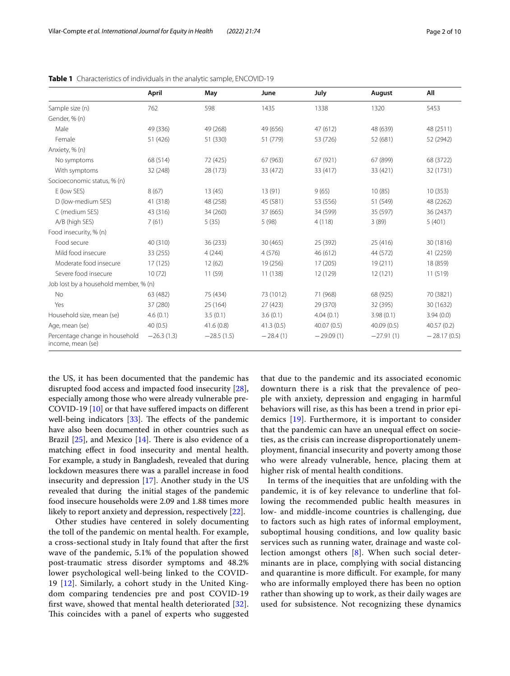|                                                     | April        | May          | June       | July        | August      | All           |
|-----------------------------------------------------|--------------|--------------|------------|-------------|-------------|---------------|
| Sample size (n)                                     | 762          | 598          | 1435       | 1338        | 1320        | 5453          |
| Gender, % (n)                                       |              |              |            |             |             |               |
| Male                                                | 49 (336)     | 49 (268)     | 49 (656)   | 47 (612)    | 48 (639)    | 48 (2511)     |
| Female                                              | 51 (426)     | 51 (330)     | 51 (779)   | 53 (726)    | 52 (681)    | 52 (2942)     |
| Anxiety, % (n)                                      |              |              |            |             |             |               |
| No symptoms                                         | 68 (514)     | 72 (425)     | 67 (963)   | 67 (921)    | 67 (899)    | 68 (3722)     |
| With symptoms                                       | 32 (248)     | 28 (173)     | 33 (472)   | 33 (417)    | 33 (421)    | 32 (1731)     |
| Socioeconomic status, % (n)                         |              |              |            |             |             |               |
| E (low SES)                                         | 8(67)        | 13(45)       | 13(91)     | 9(65)       | 10(85)      | 10(353)       |
| D (low-medium SES)                                  | 41 (318)     | 48 (258)     | 45 (581)   | 53 (556)    | 51 (549)    | 48 (2262)     |
| C (medium SES)                                      | 43 (316)     | 34 (260)     | 37 (665)   | 34 (599)    | 35 (597)    | 36 (2437)     |
| A/B (high SES)                                      | 7(61)        | 5(35)        | 5(98)      | 4(118)      | 3(89)       | 5(401)        |
| Food insecurity, % (n)                              |              |              |            |             |             |               |
| Food secure                                         | 40 (310)     | 36 (233)     | 30 (465)   | 25 (392)    | 25(416)     | 30 (1816)     |
| Mild food insecure                                  | 33 (255)     | 4(244)       | 4(576)     | 46 (612)    | 44 (572)    | 41 (2259)     |
| Moderate food insecure                              | 17 (125)     | 12(62)       | 19 (256)   | 17 (205)    | 19(211)     | 18 (859)      |
| Severe food insecure                                | 10(72)       | 11 (59)      | 11 (138)   | 12 (129)    | 12(121)     | 11 (519)      |
| Job lost by a household member, % (n)               |              |              |            |             |             |               |
| No                                                  | 63 (482)     | 75 (434)     | 73 (1012)  | 71 (968)    | 68 (925)    | 70 (3821)     |
| Yes                                                 | 37 (280)     | 25 (164)     | 27 (423)   | 29 (370)    | 32 (395)    | 30 (1632)     |
| Household size, mean (se)                           | 4.6(0.1)     | 3.5(0.1)     | 3.6(0.1)   | 4.04(0.1)   | 3.98(0.1)   | 3.94(0.0)     |
| Age, mean (se)                                      | 40(0.5)      | 41.6(0.8)    | 41.3(0.5)  | 40.07 (0.5) | 40.09(0.5)  | 40.57(0.2)    |
| Percentage change in household<br>income, mean (se) | $-26.3(1.3)$ | $-28.5(1.5)$ | $-28.4(1)$ | $-29.09(1)$ | $-27.91(1)$ | $-28.17(0.5)$ |

<span id="page-1-0"></span>**Table 1** Characteristics of individuals in the analytic sample, ENCOVID-19

the US, it has been documented that the pandemic has disrupted food access and impacted food insecurity [\[28](#page-9-3)], especially among those who were already vulnerable pre-COVID-19 [[10](#page-8-2)] or that have sufered impacts on diferent well-being indicators  $[33]$  $[33]$ . The effects of the pandemic have also been documented in other countries such as Brazil  $[25]$ , and Mexico  $[14]$  $[14]$ . There is also evidence of a matching efect in food insecurity and mental health. For example, a study in Bangladesh, revealed that during lockdown measures there was a parallel increase in food insecurity and depression [\[17](#page-9-7)]. Another study in the US revealed that during the initial stages of the pandemic food insecure households were 2.09 and 1.88 times more likely to report anxiety and depression, respectively [\[22](#page-9-8)].

Other studies have centered in solely documenting the toll of the pandemic on mental health. For example, a cross-sectional study in Italy found that after the frst wave of the pandemic, 5.1% of the population showed post-traumatic stress disorder symptoms and 48.2% lower psychological well-being linked to the COVID-19 [[12](#page-8-3)]. Similarly, a cohort study in the United Kingdom comparing tendencies pre and post COVID-19 frst wave, showed that mental health deteriorated [[32\]](#page-9-9). This coincides with a panel of experts who suggested that due to the pandemic and its associated economic downturn there is a risk that the prevalence of people with anxiety, depression and engaging in harmful behaviors will rise, as this has been a trend in prior epidemics [[19\]](#page-9-10). Furthermore, it is important to consider that the pandemic can have an unequal efect on societies, as the crisis can increase disproportionately unemployment, fnancial insecurity and poverty among those who were already vulnerable, hence, placing them at higher risk of mental health conditions.

In terms of the inequities that are unfolding with the pandemic, it is of key relevance to underline that following the recommended public health measures in low- and middle-income countries is challenging, due to factors such as high rates of informal employment, suboptimal housing conditions, and low quality basic services such as running water, drainage and waste collection amongst others [[8](#page-8-4)]. When such social determinants are in place, complying with social distancing and quarantine is more difficult. For example, for many who are informally employed there has been no option rather than showing up to work, as their daily wages are used for subsistence. Not recognizing these dynamics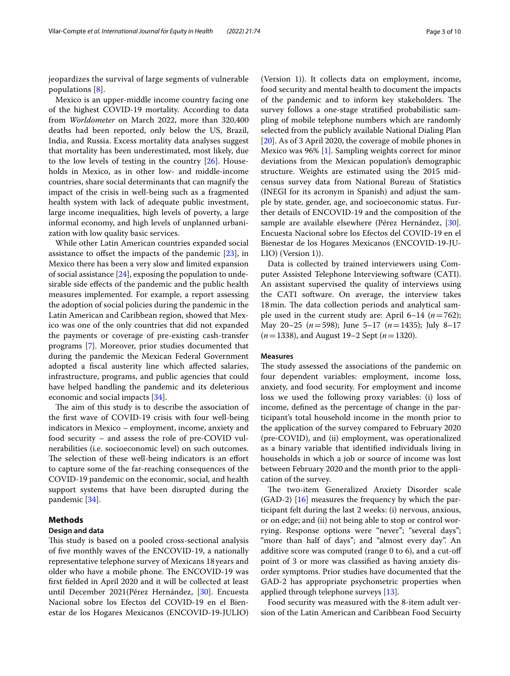jeopardizes the survival of large segments of vulnerable populations [\[8](#page-8-4)].

Mexico is an upper-middle income country facing one of the highest COVID-19 mortality. According to data from *Worldometer* on March 2022, more than 320,400 deaths had been reported, only below the US, Brazil, India, and Russia. Excess mortality data analyses suggest that mortality has been underestimated, most likely, due to the low levels of testing in the country [[26](#page-9-11)]. Households in Mexico, as in other low- and middle-income countries, share social determinants that can magnify the impact of the crisis in well-being such as a fragmented health system with lack of adequate public investment, large income inequalities, high levels of poverty, a large informal economy, and high levels of unplanned urbanization with low quality basic services.

While other Latin American countries expanded social assistance to ofset the impacts of the pandemic [[23\]](#page-9-12), in Mexico there has been a very slow and limited expansion of social assistance [\[24](#page-9-13)], exposing the population to undesirable side efects of the pandemic and the public health measures implemented. For example, a report assessing the adoption of social policies during the pandemic in the Latin American and Caribbean region, showed that Mexico was one of the only countries that did not expanded the payments or coverage of pre-existing cash-transfer programs [[7\]](#page-8-5). Moreover, prior studies documented that during the pandemic the Mexican Federal Government adopted a fiscal austerity line which affected salaries, infrastructure, programs, and public agencies that could have helped handling the pandemic and its deleterious economic and social impacts [[34\]](#page-9-14).

The aim of this study is to describe the association of the frst wave of COVID-19 crisis with four well-being indicators in Mexico – employment, income, anxiety and food security – and assess the role of pre-COVID vulnerabilities (i.e. socioeconomic level) on such outcomes. The selection of these well-being indicators is an effort to capture some of the far-reaching consequences of the COVID-19 pandemic on the economic, social, and health support systems that have been disrupted during the pandemic [\[34](#page-9-14)].

# **Methods**

# **Design and data**

This study is based on a pooled cross-sectional analysis of fve monthly waves of the ENCOVID-19, a nationally representative telephone survey of Mexicans 18years and older who have a mobile phone. The ENCOVID-19 was frst felded in April 2020 and it will be collected at least until December 2021(Pérez Hernández, [[30](#page-9-15)]. Encuesta Nacional sobre los Efectos del COVID-19 en el Bienestar de los Hogares Mexicanos (ENCOVID-19-JULIO)

(Version 1)). It collects data on employment, income, food security and mental health to document the impacts of the pandemic and to inform key stakeholders. The survey follows a one-stage stratifed probabilistic sampling of mobile telephone numbers which are randomly selected from the publicly available National Dialing Plan [[20\]](#page-9-16). As of 3 April 2020, the coverage of mobile phones in Mexico was 96% [[1\]](#page-8-6). Sampling weights correct for minor deviations from the Mexican population's demographic structure. Weights are estimated using the 2015 midcensus survey data from National Bureau of Statistics (INEGI for its acronym in Spanish) and adjust the sample by state, gender, age, and socioeconomic status. Further details of ENCOVID-19 and the composition of the sample are available elsewhere (Pérez Hernández, [\[30](#page-9-15)]. Encuesta Nacional sobre los Efectos del COVID-19 en el Bienestar de los Hogares Mexicanos (ENCOVID-19-JU-LIO) (Version 1)).

Data is collected by trained interviewers using Computer Assisted Telephone Interviewing software (CATI). An assistant supervised the quality of interviews using the CATI software. On average, the interview takes 18 min. The data collection periods and analytical sample used in the current study are: April  $6-14$   $(n=762)$ ; May 20–25 (*n*=598); June 5–17 (*n*=1435); July 8–17 (*n*=1338), and August 19–2 Sept (*n*=1320).

# **Measures**

The study assessed the associations of the pandemic on four dependent variables: employment, income loss, anxiety, and food security. For employment and income loss we used the following proxy variables: (i) loss of income, defned as the percentage of change in the participant's total household income in the month prior to the application of the survey compared to February 2020 (pre-COVID), and (ii) employment, was operationalized as a binary variable that identifed individuals living in households in which a job or source of income was lost between February 2020 and the month prior to the application of the survey.

The two-item Generalized Anxiety Disorder scale (GAD-2) [\[16](#page-9-17)] measures the frequency by which the participant felt during the last 2 weeks: (i) nervous, anxious, or on edge; and (ii) not being able to stop or control worrying. Response options were "never"; "several days"; "more than half of days"; and "almost every day". An additive score was computed (range 0 to 6), and a cut-of point of 3 or more was classifed as having anxiety disorder symptoms. Prior studies have documented that the GAD-2 has appropriate psychometric properties when applied through telephone surveys [\[13\]](#page-9-18).

Food security was measured with the 8-item adult version of the Latin American and Caribbean Food Secuirty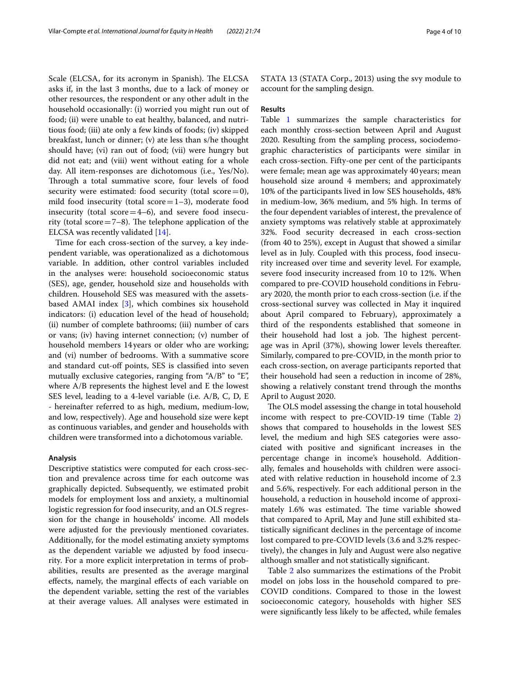Scale (ELCSA, for its acronym in Spanish). The ELCSA asks if, in the last 3 months, due to a lack of money or other resources, the respondent or any other adult in the household occasionally: (i) worried you might run out of food; (ii) were unable to eat healthy, balanced, and nutritious food; (iii) ate only a few kinds of foods; (iv) skipped breakfast, lunch or dinner; (v) ate less than s/he thought should have; (vi) ran out of food; (vii) were hungry but did not eat; and (viii) went without eating for a whole day. All item-responses are dichotomous (i.e., Yes/No). Through a total summative score, four levels of food security were estimated: food security (total score=0), mild food insecurity (total  $score=1-3$ ), moderate food insecurity (total score $=4-6$ ), and severe food insecurity (total score  $=7-8$ ). The telephone application of the ELCSA was recently validated [\[14](#page-9-6)].

Time for each cross-section of the survey, a key independent variable, was operationalized as a dichotomous variable. In addition, other control variables included in the analyses were: household socioeconomic status (SES), age, gender, household size and households with children. Household SES was measured with the assetsbased AMAI index [\[3](#page-8-7)], which combines six household indicators: (i) education level of the head of household; (ii) number of complete bathrooms; (iii) number of cars or vans; (iv) having internet connection; (v) number of household members 14years or older who are working; and (vi) number of bedrooms. With a summative score and standard cut-off points, SES is classified into seven mutually exclusive categories, ranging from "A/B" to "E", where A/B represents the highest level and E the lowest SES level, leading to a 4-level variable (i.e. A/B, C, D, E - hereinafter referred to as high, medium, medium-low, and low, respectively). Age and household size were kept as continuous variables, and gender and households with children were transformed into a dichotomous variable.

## **Analysis**

Descriptive statistics were computed for each cross-section and prevalence across time for each outcome was graphically depicted. Subsequently, we estimated probit models for employment loss and anxiety, a multinomial logistic regression for food insecurity, and an OLS regression for the change in households' income. All models were adjusted for the previously mentioned covariates. Additionally, for the model estimating anxiety symptoms as the dependent variable we adjusted by food insecurity. For a more explicit interpretation in terms of probabilities, results are presented as the average marginal efects, namely, the marginal efects of each variable on the dependent variable, setting the rest of the variables at their average values. All analyses were estimated in STATA 13 (STATA Corp., 2013) using the svy module to account for the sampling design.

# **Results**

Table [1](#page-1-0) summarizes the sample characteristics for each monthly cross-section between April and August 2020. Resulting from the sampling process, sociodemographic characteristics of participants were similar in each cross-section. Fifty-one per cent of the participants were female; mean age was approximately 40years; mean household size around 4 members; and approximately 10% of the participants lived in low SES households, 48% in medium-low, 36% medium, and 5% high. In terms of the four dependent variables of interest, the prevalence of anxiety symptoms was relatively stable at approximately 32%. Food security decreased in each cross-section (from 40 to 25%), except in August that showed a similar level as in July. Coupled with this process, food insecurity increased over time and severity level. For example, severe food insecurity increased from 10 to 12%. When compared to pre-COVID household conditions in February 2020, the month prior to each cross-section (i.e. if the cross-sectional survey was collected in May it inquired about April compared to February), approximately a third of the respondents established that someone in their household had lost a job. The highest percentage was in April (37%), showing lower levels thereafter. Similarly, compared to pre-COVID, in the month prior to each cross-section, on average participants reported that their household had seen a reduction in income of 28%, showing a relatively constant trend through the months April to August 2020.

The OLS model assessing the change in total household income with respect to pre-COVID-19 time (Table [2](#page-4-0)) shows that compared to households in the lowest SES level, the medium and high SES categories were associated with positive and signifcant increases in the percentage change in income's household. Additionally, females and households with children were associated with relative reduction in household income of 2.3 and 5.6%, respectively. For each additional person in the household, a reduction in household income of approximately 1.6% was estimated. The time variable showed that compared to April, May and June still exhibited statistically signifcant declines in the percentage of income lost compared to pre-COVID levels (3.6 and 3.2% respectively), the changes in July and August were also negative although smaller and not statistically signifcant.

Table [2](#page-4-0) also summarizes the estimations of the Probit model on jobs loss in the household compared to pre-COVID conditions. Compared to those in the lowest socioeconomic category, households with higher SES were signifcantly less likely to be afected, while females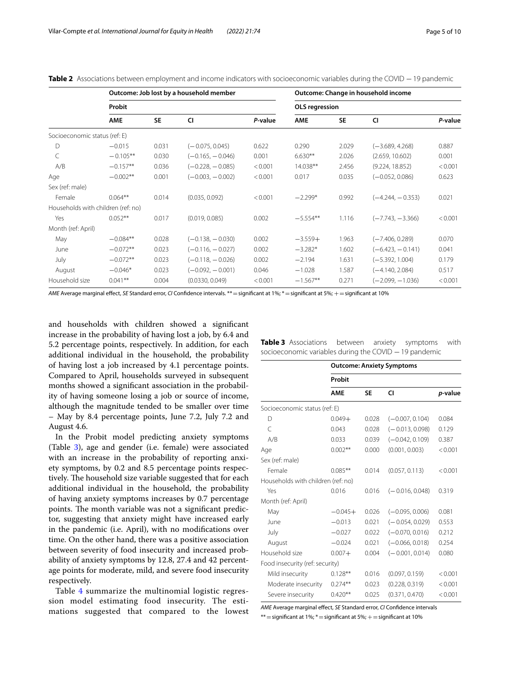<span id="page-4-0"></span>Table 2 Associations between employment and income indicators with socioeconomic variables during the COVID −19 pandemic

|                                    |            |           | Outcome: Job lost by a household member |         |                |           | Outcome: Change in household income |         |
|------------------------------------|------------|-----------|-----------------------------------------|---------|----------------|-----------|-------------------------------------|---------|
|                                    | Probit     |           |                                         |         | OLS regression |           |                                     |         |
|                                    | <b>AME</b> | <b>SE</b> | CI                                      | P-value | <b>AME</b>     | <b>SE</b> | CI                                  | P-value |
| Socioeconomic status (ref: E)      |            |           |                                         |         |                |           |                                     |         |
| $\Box$                             | $-0.015$   | 0.031     | $(-0.075, 0.045)$                       | 0.622   | 0.290          | 2.029     | $(-3.689, 4.268)$                   | 0.887   |
| C                                  | $-0.105**$ | 0.030     | $(-0.165, -0.046)$                      | 0.001   | $6.630**$      | 2.026     | (2.659, 10.602)                     | 0.001   |
| A/B                                | $-0.157**$ | 0.036     | $(-0.228, -0.085)$                      | < 0.001 | 14.038**       | 2.456     | (9.224, 18.852)                     | < 0.001 |
| Age                                | $-0.002**$ | 0.001     | $(-0.003, -0.002)$                      | < 0.001 | 0.017          | 0.035     | $(-0.052, 0.086)$                   | 0.623   |
| Sex (ref: male)                    |            |           |                                         |         |                |           |                                     |         |
| Female                             | $0.064**$  | 0.014     | (0.035, 0.092)                          | < 0.001 | $-2.299*$      | 0.992     | $(-4.244, -0.353)$                  | 0.021   |
| Households with children (ref: no) |            |           |                                         |         |                |           |                                     |         |
| Yes                                | $0.052**$  | 0.017     | (0.019, 0.085)                          | 0.002   | $-5.554**$     | 1.116     | $(-7.743, -3.366)$                  | < 0.001 |
| Month (ref: April)                 |            |           |                                         |         |                |           |                                     |         |
| May                                | $-0.084**$ | 0.028     | $(-0.138, -0.030)$                      | 0.002   | $-3.559+$      | 1.963     | $(-7.406, 0.289)$                   | 0.070   |
| June                               | $-0.072**$ | 0.023     | $(-0.116, -0.027)$                      | 0.002   | $-3.282*$      | 1.602     | $(-6.423, -0.141)$                  | 0.041   |
| July                               | $-0.072**$ | 0.023     | $(-0.118, -0.026)$                      | 0.002   | $-2.194$       | 1.631     | $(-5.392, 1.004)$                   | 0.179   |
| August                             | $-0.046*$  | 0.023     | $(-0.092, -0.001)$                      | 0.046   | $-1.028$       | 1.587     | $(-4.140, 2.084)$                   | 0.517   |
| Household size                     | $0.041***$ | 0.004     | (0.0330, 0.049)                         | < 0.001 | $-1.567**$     | 0.271     | $(-2.099, -1.036)$                  | < 0.001 |

*AME* Average marginal efect, *SE* Standard error, *CI* Confdence intervals. \*\*=signifcant at 1%; \*=signifcant at 5%; +=signifcant at 10%

and households with children showed a signifcant increase in the probability of having lost a job, by 6.4 and 5.2 percentage points, respectively. In addition, for each additional individual in the household, the probability of having lost a job increased by 4.1 percentage points. Compared to April, households surveyed in subsequent months showed a signifcant association in the probability of having someone losing a job or source of income, although the magnitude tended to be smaller over time – May by 8.4 percentage points, June 7.2, July 7.2 and August 4.6.

In the Probit model predicting anxiety symptoms (Table [3](#page-4-1)), age and gender (i.e. female) were associated with an increase in the probability of reporting anxiety symptoms, by 0.2 and 8.5 percentage points respectively. The household size variable suggested that for each additional individual in the household, the probability of having anxiety symptoms increases by 0.7 percentage points. The month variable was not a significant predictor, suggesting that anxiety might have increased early in the pandemic (i.e. April), with no modifcations over time. On the other hand, there was a positive association between severity of food insecurity and increased probability of anxiety symptoms by 12.8, 27.4 and 42 percentage points for moderate, mild, and severe food insecurity respectively.

Table [4](#page-5-0) summarize the multinomial logistic regression model estimating food insecurity. The estimations suggested that compared to the lowest

|                                    |            |       | <b>Outcome: Anxiety Symptoms</b> |         |
|------------------------------------|------------|-------|----------------------------------|---------|
|                                    | Probit     |       |                                  |         |
|                                    | <b>AME</b> | SE    | CI                               | p-value |
| Socioeconomic status (ref: E)      |            |       |                                  |         |
| D                                  | $0.049+$   | 0.028 | $(-0.007, 0.104)$                | 0.084   |
| $\mathcal{C}$                      | 0.043      | 0.028 | $(-0.013, 0.098)$                | 0.129   |
| A/B                                | 0.033      | 0.039 | $(-0.042, 0.109)$                | 0.387   |
| Age                                | $0.002***$ | 0.000 | (0.001, 0.003)                   | < 0.001 |
| Sex (ref: male)                    |            |       |                                  |         |
| Female                             | $0.085***$ | 0.014 | (0.057, 0.113)                   | < 0.001 |
| Households with children (ref: no) |            |       |                                  |         |
| Yes                                | 0.016      | 0.016 | $(-0.016, 0.048)$                | 0.319   |
| Month (ref: April)                 |            |       |                                  |         |
| May                                | $-0.045+$  | 0.026 | $(-0.095, 0.006)$                | 0.081   |
| June                               | $-0.013$   | 0.021 | $(-0.054, 0.029)$                | 0.553   |
| July                               | $-0.027$   | 0.022 | $(-0.070, 0.016)$                | 0.212   |
| August                             | $-0.024$   | 0.021 | $(-0.066, 0.018)$                | 0.254   |
| Household size                     | $0.007 +$  | 0.004 | $(-0.001, 0.014)$                | 0.080   |
| Food insecurity (ref: security)    |            |       |                                  |         |
| Mild insecurity                    | $0.128**$  | 0.016 | (0.097, 0.159)                   | < 0.001 |
| Moderate insecurity                | $0.274***$ | 0.023 | (0.228, 0.319)                   | < 0.001 |
| Severe insecurity                  | $0.420**$  | 0.025 | (0.371, 0.470)                   | < 0.001 |

*AME* Average marginal efect, *SE* Standard error, *CI* Confdence intervals \*\* = significant at 1%;  $*$  = significant at 5%;  $+$  = significant at 10%

<span id="page-4-1"></span>

| <b>Table 3</b> Associations between anxiety symptoms with |  |  |
|-----------------------------------------------------------|--|--|
| socioeconomic variables during the COVID $-19$ pandemic   |  |  |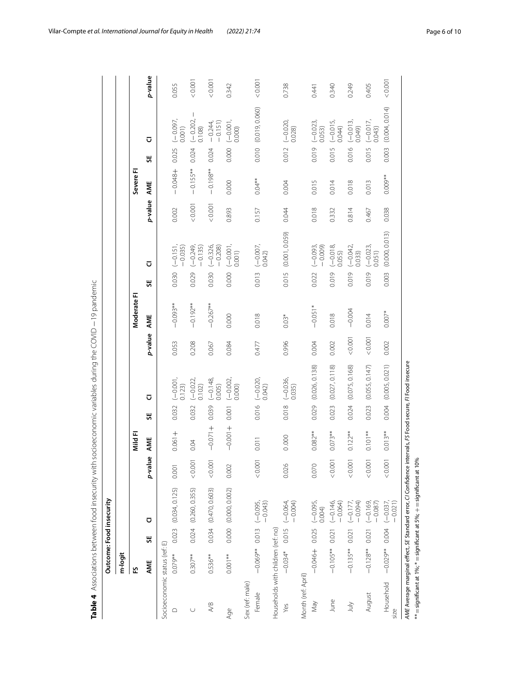|                                    |                  |       | Outcome: Food insecurity                      |         |           |                            |                |         |             |       |                          |         |            |       |                      |         |
|------------------------------------|------------------|-------|-----------------------------------------------|---------|-----------|----------------------------|----------------|---------|-------------|-------|--------------------------|---------|------------|-------|----------------------|---------|
|                                    | m-logit          |       |                                               |         |           |                            |                |         |             |       |                          |         |            |       |                      |         |
|                                    | 언                |       |                                               |         | Mild FI   |                            |                |         | Moderate FI |       |                          |         | Severe Fl  |       |                      |         |
|                                    | AME              | ₩     | ⊽                                             | p-value | AME       | ū<br>븼                     |                | p-value | AME         | 说     | ū                        | p-value | AME        | 说     | Ū                    | p-value |
| Socioeconomic status (ref: E)      |                  |       |                                               |         |           |                            |                |         |             |       |                          |         |            |       |                      |         |
| ≏                                  | $0.079**$        | 0.023 | (0.034, 0.125)                                | 0.001   | $-1000 +$ | $(-0.001, 0.123)$<br>0.032 |                | 0.053   | $-0.093**$  | 0.030 | $(-0.151, -0.035)$       | 0.002   | $+848 +$   | 0.025 | $(-0.097,$<br>0.001) | 0.055   |
| U                                  | $0.307**$        | 0.024 | (0.260, 0.355)                                | 0.001   | 0.04      | $(-0.022, 0.102)$<br>0.032 |                | 0.208   | $-0.192**$  | 0.029 | $(-0.249, -0.135)$       | 0.001   | $-0.155**$ | 0.024 | $(-0.202, 0.108)$    | 0.001   |
| A/B                                | $0.536**$        |       | 0.034 (0.470, 0.603)                          | 0.001   | $+1500-$  | $(-0.148, 0.005)$<br>0.039 |                | 0.067   | $-0.267**$  | 0.030 | $(-0.326, -0.208)$       | < 0.001 | $-0.198**$ | 0.024 | $-0.244, -0.151)$    | 0.001   |
| Age                                | $0.001**$        |       | 0.000 (0.000, 0.002)                          | 0.002   | $+1000 -$ | $(-0.002, 0.000)$<br>0.001 |                | 0.084   | 0.000       | 0.000 | $(-0.001, 0.001)$        | 0.893   | 0.000      | 0.000 | $(-0.001, 0.000)$    | 0.342   |
| Sex (ref: male)                    |                  |       |                                               |         |           |                            |                |         |             |       |                          |         |            |       |                      |         |
| Female                             |                  |       | $-0.069**$ 0.013 $(-0.095,$<br>-0.043)        | &0.001  | 0.011     | $(-0.020, 0.042)$<br>0.016 |                | 0.477   | 0.018       | 0.013 | $(-0.007, 0.007, 0.042)$ | 0.157   | $0.04**$   |       | 0.010 (0.019, 0.060) | 0.001   |
| Households with children (ref: no) |                  |       |                                               |         |           |                            |                |         |             |       |                          |         |            |       |                      |         |
| Yes                                | $-0.034*$        |       | $0.015 (-0.064,$<br>$-0.004$ )                | 0.026   | 0.000     | $(-0.036, 0.035)$<br>0.018 |                | 0.996   | $0.03*$     | 0.015 | (0.001, 0.059)           | 0.044   | 0.004      | 0.012 | $(-0.020,$<br>0.028) | 0.738   |
| Month (ref: April)                 |                  |       |                                               |         |           |                            |                |         |             |       |                          |         |            |       |                      |         |
| Vey                                | $-0.046 + 0.025$ |       | $(-0.095,$<br>0.004                           | 0.070   | $0.082**$ | 0.029                      | (0.026, 0.138) | 0.004   | $-0.051*$   | 0.022 | $(-0.093, -0.009)$       | 0.018   | 0.015      | 0.019 | $(-0.023, 0.053)$    | 0.441   |
| June                               | $-0.105**$       | 0.021 | $(-0.146)$<br>$-0.064$                        | 0.001   | $0.073**$ | 0.023                      | (0.027, 0.118) | 0.002   | 0.018       | 0.019 | $(-0.018, 0.055)$        | 0.332   | 0.014      | 0.015 | $(-0.015, 0.044)$    | 0.340   |
| July                               | $-0.135**$       | 0.021 | $(-0.177)$<br>$-0.094$                        | 0.001   | $0.122**$ | 0.024                      | (0.075, 0.168) | < 0.001 | $-0.004$    | 0.019 | $(-0.042, 0.033)$        | 0.814   | 0.018      | 0.016 | $(-0.013, 0.049)$    | 0.249   |
| August                             | $-0.128**$       | 0.021 | $(-0.169)$<br>$-0.087$                        | 0.001   | $0.101**$ | 0.023                      | (0.055, 0.147) | 0.001   | 0.014       | 0.019 | $(-0.023, 0.051)$        | 0.467   | 0.013      | 0.015 | $(-0.017, 0.043)$    | 0.405   |
| Household<br>size                  |                  |       | $-0.02$ <sup>**</sup> 0.004 $(-0.037, 0.037)$ | 0.001   | $0.013**$ | 0.004                      | (0.005, 0.021) | 0.002   | $0.007*$    | 0.003 | (0.000, 0.013)           | 0.038   | $0.009**$  | 0.003 | (0.004, 0.014)       | 10000   |

**Table 4** Associations between food insecurity with socioeconomic variables during the COVID −19 pandemic

*AME* Average marginal efect, *SE* Standard error, *CI* Confdence intervals, *FS* Food secure, *FI* Food insecure  $=$  significant at 1%;  $*$ =signifcant at 5%; + =signifcant at 10%

<span id="page-5-0"></span>\*\*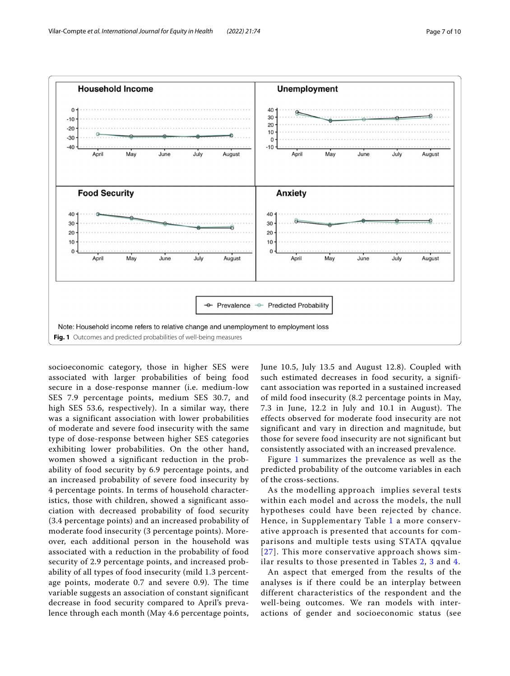

<span id="page-6-0"></span>socioeconomic category, those in higher SES were associated with larger probabilities of being food secure in a dose-response manner (i.e. medium-low SES 7.9 percentage points, medium SES 30.7, and high SES 53.6, respectively). In a similar way, there was a significant association with lower probabilities of moderate and severe food insecurity with the same type of dose-response between higher SES categories exhibiting lower probabilities. On the other hand, women showed a significant reduction in the probability of food security by 6.9 percentage points, and an increased probability of severe food insecurity by 4 percentage points. In terms of household characteristics, those with children, showed a significant association with decreased probability of food security (3.4 percentage points) and an increased probability of moderate food insecurity (3 percentage points). Moreover, each additional person in the household was associated with a reduction in the probability of food security of 2.9 percentage points, and increased probability of all types of food insecurity (mild 1.3 percentage points, moderate 0.7 and severe 0.9). The time variable suggests an association of constant significant decrease in food security compared to April's prevalence through each month (May 4.6 percentage points, June 10.5, July 13.5 and August 12.8). Coupled with such estimated decreases in food security, a significant association was reported in a sustained increased of mild food insecurity (8.2 percentage points in May, 7.3 in June, 12.2 in July and 10.1 in August). The effects observed for moderate food insecurity are not significant and vary in direction and magnitude, but those for severe food insecurity are not significant but consistently associated with an increased prevalence.

Figure [1](#page-6-0) summarizes the prevalence as well as the predicted probability of the outcome variables in each of the cross-sections.

As the modelling approach implies several tests within each model and across the models, the null hypotheses could have been rejected by chance. Hence, in Supplementary Table [1](#page-8-8) a more conservative approach is presented that accounts for comparisons and multiple tests using STATA qqvalue [[27](#page-9-19)]. This more conservative approach shows similar results to those presented in Tables [2,](#page-4-0) [3](#page-4-1) and [4](#page-5-0).

An aspect that emerged from the results of the analyses is if there could be an interplay between different characteristics of the respondent and the well-being outcomes. We ran models with interactions of gender and socioeconomic status (see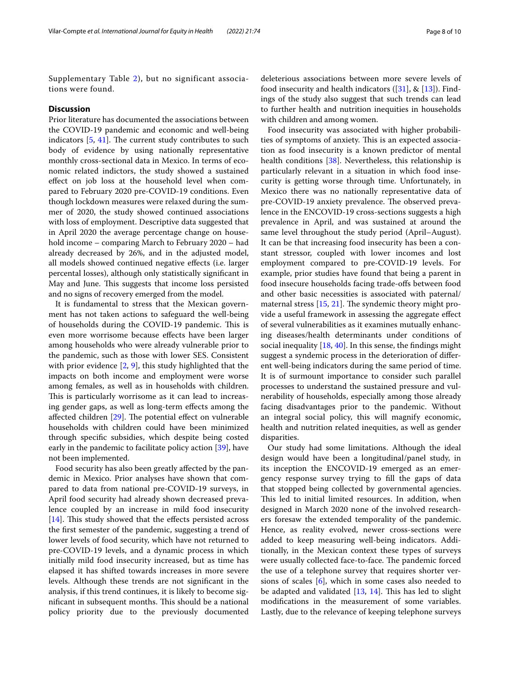Supplementary Table [2\)](#page-8-9), but no significant associations were found.

# **Discussion**

Prior literature has documented the associations between the COVID-19 pandemic and economic and well-being indicators  $[5, 41]$  $[5, 41]$  $[5, 41]$  $[5, 41]$  $[5, 41]$ . The current study contributes to such body of evidence by using nationally representative monthly cross-sectional data in Mexico. In terms of economic related indictors, the study showed a sustained efect on job loss at the household level when compared to February 2020 pre-COVID-19 conditions. Even though lockdown measures were relaxed during the summer of 2020, the study showed continued associations with loss of employment. Descriptive data suggested that in April 2020 the average percentage change on household income – comparing March to February 2020 – had already decreased by 26%, and in the adjusted model, all models showed continued negative efects (i.e. larger percental losses), although only statistically signifcant in May and June. This suggests that income loss persisted and no signs of recovery emerged from the model.

It is fundamental to stress that the Mexican government has not taken actions to safeguard the well-being of households during the COVID-19 pandemic. This is even more worrisome because efects have been larger among households who were already vulnerable prior to the pandemic, such as those with lower SES. Consistent with prior evidence [\[2](#page-8-11), [9](#page-8-12)], this study highlighted that the impacts on both income and employment were worse among females, as well as in households with children. This is particularly worrisome as it can lead to increasing gender gaps, as well as long-term efects among the affected children  $[29]$  $[29]$ . The potential effect on vulnerable households with children could have been minimized through specifc subsidies, which despite being costed early in the pandemic to facilitate policy action [\[39\]](#page-9-22), have not been implemented.

Food security has also been greatly afected by the pandemic in Mexico. Prior analyses have shown that compared to data from national pre-COVID-19 surveys, in April food security had already shown decreased prevalence coupled by an increase in mild food insecurity  $[14]$  $[14]$ . This study showed that the effects persisted across the frst semester of the pandemic, suggesting a trend of lower levels of food security, which have not returned to pre-COVID-19 levels, and a dynamic process in which initially mild food insecurity increased, but as time has elapsed it has shifted towards increases in more severe levels. Although these trends are not signifcant in the analysis, if this trend continues, it is likely to become significant in subsequent months. This should be a national policy priority due to the previously documented

deleterious associations between more severe levels of food insecurity and health indicators  $([31], \& [13])$  $([31], \& [13])$  $([31], \& [13])$  $([31], \& [13])$  $([31], \& [13])$ . Findings of the study also suggest that such trends can lead to further health and nutrition inequities in households with children and among women.

Food insecurity was associated with higher probabilities of symptoms of anxiety. This is an expected association as food insecurity is a known predictor of mental health conditions [[38\]](#page-9-24). Nevertheless, this relationship is particularly relevant in a situation in which food insecurity is getting worse through time. Unfortunately, in Mexico there was no nationally representative data of pre-COVID-19 anxiety prevalence. The observed prevalence in the ENCOVID-19 cross-sections suggests a high prevalence in April, and was sustained at around the same level throughout the study period (April–August). It can be that increasing food insecurity has been a constant stressor, coupled with lower incomes and lost employment compared to pre-COVID-19 levels. For example, prior studies have found that being a parent in food insecure households facing trade-ofs between food and other basic necessities is associated with paternal/ maternal stress  $[15, 21]$  $[15, 21]$  $[15, 21]$  $[15, 21]$  $[15, 21]$ . The syndemic theory might provide a useful framework in assessing the aggregate efect of several vulnerabilities as it examines mutually enhancing diseases/health determinants under conditions of social inequality  $[18, 40]$  $[18, 40]$  $[18, 40]$  $[18, 40]$ . In this sense, the findings might suggest a syndemic process in the deterioration of diferent well-being indicators during the same period of time. It is of surmount importance to consider such parallel processes to understand the sustained pressure and vulnerability of households, especially among those already facing disadvantages prior to the pandemic. Without an integral social policy, this will magnify economic, health and nutrition related inequities, as well as gender disparities.

Our study had some limitations. Although the ideal design would have been a longitudinal/panel study, in its inception the ENCOVID-19 emerged as an emergency response survey trying to fll the gaps of data that stopped being collected by governmental agencies. This led to initial limited resources. In addition, when designed in March 2020 none of the involved researchers foresaw the extended temporality of the pandemic. Hence, as reality evolved, newer cross-sections were added to keep measuring well-being indicators. Additionally, in the Mexican context these types of surveys were usually collected face-to-face. The pandemic forced the use of a telephone survey that requires shorter versions of scales  $[6]$  $[6]$ , which in some cases also needed to be adapted and validated  $[13, 14]$  $[13, 14]$  $[13, 14]$ . This has led to slight modifcations in the measurement of some variables. Lastly, due to the relevance of keeping telephone surveys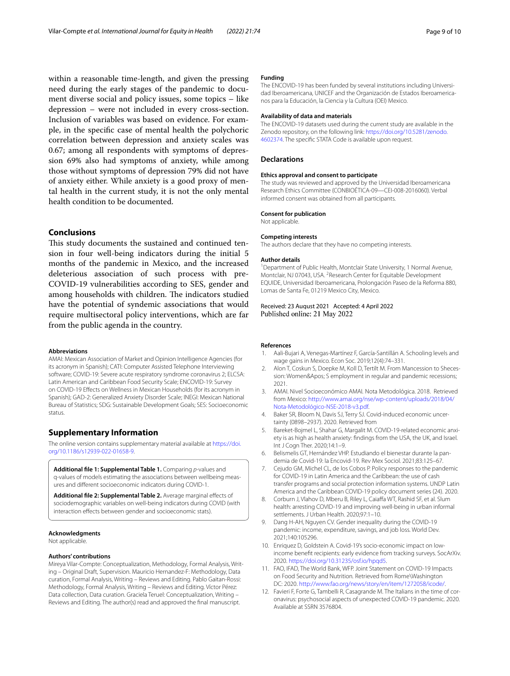within a reasonable time-length, and given the pressing need during the early stages of the pandemic to document diverse social and policy issues, some topics – like depression – were not included in every cross-section. Inclusion of variables was based on evidence. For example, in the specifc case of mental health the polychoric correlation between depression and anxiety scales was 0.67; among all respondents with symptoms of depression 69% also had symptoms of anxiety, while among those without symptoms of depression 79% did not have of anxiety either. While anxiety is a good proxy of mental health in the current study, it is not the only mental health condition to be documented.

# **Conclusions**

This study documents the sustained and continued tension in four well-being indicators during the initial 5 months of the pandemic in Mexico, and the increased deleterious association of such process with pre-COVID-19 vulnerabilities according to SES, gender and among households with children. The indicators studied have the potential of syndemic associations that would require multisectoral policy interventions, which are far from the public agenda in the country.

#### **Abbreviations**

AMAI: Mexican Association of Market and Opinion Intelligence Agencies (for its acronym in Spanish); CATI: Computer Assisted Telephone Interviewing software; COVID-19: Severe acute respiratory syndrome coronavirus 2; ELCSA: Latin American and Caribbean Food Security Scale; ENCOVID-19: Survey on COVID-19 Efects on Wellness in Mexican Households (for its acronym in Spanish); GAD-2: Generalized Anxiety Disorder Scale; INEGI: Mexican National Bureau of Statistics; SDG: Sustainable Development Goals; SES: Socioeconomic status.

# **Supplementary Information**

The online version contains supplementary material available at [https://doi.](https://doi.org/10.1186/s12939-022-01658-9) [org/10.1186/s12939-022-01658-9](https://doi.org/10.1186/s12939-022-01658-9).

<span id="page-8-8"></span>**Additional fle 1: Supplemental Table 1.** Comparing *p*-values and q-values of models estimating the associations between wellbeing meas‑ ures and diferent socioeconomic indicators during COVID-1.

<span id="page-8-9"></span>Additional file 2: Supplemental Table 2. Average marginal effects of sociodemographic variables on well-being indicators during COVID (with interaction efects between gender and socioeconomic stats).

#### **Acknowledgments**

Not applicable.

#### **Authors' contributions**

Mireya Vilar-Compte: Conceptualization, Methodology, Formal Analysis, Writ‑ ing – Original Draft, Supervision. Mauricio Hernandez-F: Methodology, Data curation, Formal Analysis, Writing – Reviews and Editing. Pablo Gaitan-Rossi: Methodology, Formal Analysis, Writing – Reviews and Editing. Víctor Pérez: Data collection, Data curation. Graciela Teruel: Conceptualization, Writing – Reviews and Editing. The author(s) read and approved the fnal manuscript.

#### **Funding**

The ENCOVID-19 has been funded by several institutions including Universidad Iberoamericana, UNICEF and the Organización de Estados Iberoamericanos para la Educación, la Ciencia y la Cultura (OEI) Mexico.

#### **Availability of data and materials**

The ENCOVID-19 datasets used during the current study are available in the Zenodo repository, on the following link: [https://doi.org/10.5281/zenodo.](https://doi.org/10.5281/zenodo.4602374) [4602374](https://doi.org/10.5281/zenodo.4602374). The specifc STATA Code is available upon request.

#### **Declarations**

# **Ethics approval and consent to participate**

The study was reviewed and approved by the Universidad Iberoamericana Research Ethics Committee (CONBIOÉTICA-09—CEI-008-2016060). Verbal informed consent was obtained from all participants.

# **Consent for publication**

Not applicable.

#### **Competing interests**

The authors declare that they have no competing interests.

#### **Author details**

<sup>1</sup> Department of Public Health, Montclair State University, 1 Normal Avenue, Montclair, NJ 07043, USA. <sup>2</sup> Research Center for Equitable Development EQUIDE, Universidad Iberoamericana, Prolongación Paseo de la Reforma 880, Lomas de Santa Fe, 01219 Mexico City, Mexico.

# Received: 23 August 2021 Accepted: 4 April 2022 Published online: 21 May 2022

#### **References**

- <span id="page-8-6"></span>1. Aali-Bujari A, Venegas-Martínez F, García-Santillán A. Schooling levels and wage gains in Mexico. Econ Soc. 2019;12(4):74–331.
- <span id="page-8-11"></span>2. Alon T, Coskun S, Doepke M, Koll D, Tertilt M. From Mancession to Shecession: Women&Apos; S employment in regular and pandemic recessions; 2021.
- <span id="page-8-7"></span>3. AMAI. Nivel Socioeconómico AMAI*.* Nota Metodológica. 2018. Retrieved from Mexico: [http://www.amai.org/nse/wp-content/uploads/2018/04/](http://www.amai.org/nse/wp-content/uploads/2018/04/Nota-Metodol%C3%B3gico-NSE-2018-v3.pdf) [Nota-Metodológico-NSE-2018-v3.pdf](http://www.amai.org/nse/wp-content/uploads/2018/04/Nota-Metodol%C3%B3gico-NSE-2018-v3.pdf).
- <span id="page-8-0"></span>4. Baker SR, Bloom N, Davis SJ, Terry SJ. Covid-induced economic uncertainty (0898–2937). 2020. Retrieved from
- <span id="page-8-10"></span>5. Bareket-Bojmel L, Shahar G, Margalit M. COVID-19-related economic anxiety is as high as health anxiety: fndings from the USA, the UK, and Israel. Int J Cogn Ther. 2020;14:1–9.
- <span id="page-8-13"></span>6. Belismelis GT, Hernández VHP. Estudiando el bienestar durante la pan‑ demia de Covid-19: la Encovid-19. Rev Mex Sociol. 2021;83:125–67.
- <span id="page-8-5"></span>7. Cejudo GM, Michel CL, de los Cobos P. Policy responses to the pandemic for COVID-19 in Latin America and the Caribbean: the use of cash transfer programs and social protection information systems. UNDP Latin America and the Caribbean COVID-19 policy document series (24). 2020.
- <span id="page-8-4"></span>8. Corburn J, Vlahov D, Mberu B, Riley L, Caiaffa WT, Rashid SF, et al. Slum health: arresting COVID-19 and improving well-being in urban informal settlements. J Urban Health. 2020;97:1–10.
- <span id="page-8-12"></span>9. Dang H-AH, Nguyen CV. Gender inequality during the COVID-19 pandemic: income, expenditure, savings, and job loss. World Dev. 2021;140:105296.
- <span id="page-8-2"></span>10. Enriquez D, Goldstein A. Covid-19's socio-economic impact on lowincome beneft recipients: early evidence from tracking surveys. SocArXiv. 2020. [https://doi.org/10.31235/osf.io/hpqd5.](https://doi.org/10.31235/osf.io/hpqd5)
- <span id="page-8-1"></span>11. FAO, IFAD, The World Bank, WFP. Joint Statement on COVID-19 Impacts on Food Security and Nutrition*.* Retrieved from Rome\Washington DC: 2020. [http://www.fao.org/news/story/en/item/1272058/icode/.](http://www.fao.org/news/story/en/item/1272058/icode/)
- <span id="page-8-3"></span>12. Favieri F, Forte G, Tambelli R, Casagrande M. The Italians in the time of coronavirus: psychosocial aspects of unexpected COVID-19 pandemic. 2020. Available at SSRN 3576804.